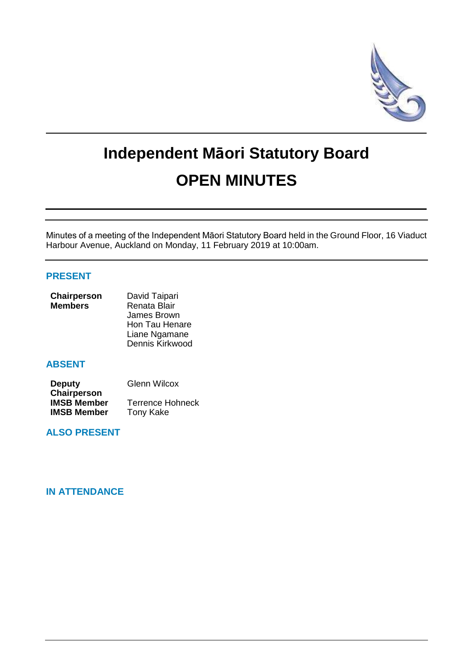

# **Independent Māori Statutory Board OPEN MINUTES**

Minutes of a meeting of the Independent Māori Statutory Board held in the Ground Floor, 16 Viaduct Harbour Avenue, Auckland on Monday, 11 February 2019 at 10:00am.

# **PRESENT**

| Chairperson    | David Taipari   |
|----------------|-----------------|
| <b>Members</b> | Renata Blair    |
|                | James Brown     |
|                | Hon Tau Henare  |
|                | Liane Ngamane   |
|                | Dennis Kirkwood |

# **ABSENT**

| <b>Deputy</b>      | <b>Glenn Wilcox</b>     |
|--------------------|-------------------------|
| Chairperson        |                         |
| <b>IMSB Member</b> | <b>Terrence Hohneck</b> |
| <b>IMSB Member</b> | <b>Tony Kake</b>        |

# **ALSO PRESENT**

# **IN ATTENDANCE**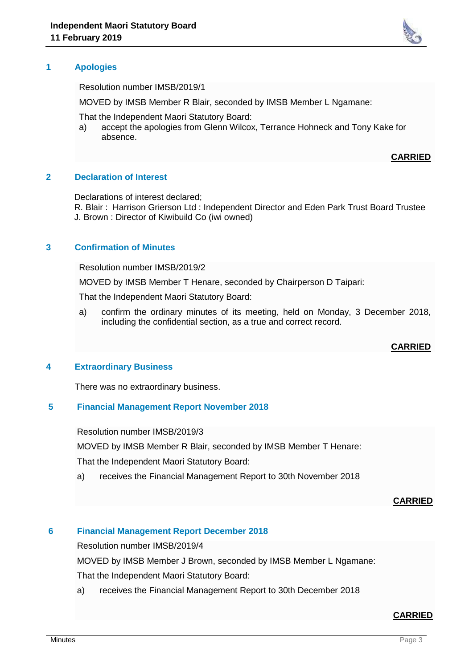

Resolution number IMSB/2019/1

MOVED by IMSB Member R Blair, seconded by IMSB Member L Ngamane:

That the Independent Maori Statutory Board:

a) accept the apologies from Glenn Wilcox, Terrance Hohneck and Tony Kake for absence.

#### **CARRIED**

#### **2 Declaration of Interest**

Declarations of interest declared;

R. Blair : Harrison Grierson Ltd : Independent Director and Eden Park Trust Board Trustee J. Brown : Director of Kiwibuild Co (iwi owned)

## **3 Confirmation of Minutes**

Resolution number IMSB/2019/2

MOVED by IMSB Member T Henare, seconded by Chairperson D Taipari:

That the Independent Maori Statutory Board:

a) confirm the ordinary minutes of its meeting, held on Monday, 3 December 2018, including the confidential section, as a true and correct record.

#### **CARRIED**

#### **4 Extraordinary Business**

There was no extraordinary business.

## **5 Financial Management Report November 2018**

Resolution number IMSB/2019/3

MOVED by IMSB Member R Blair, seconded by IMSB Member T Henare:

That the Independent Maori Statutory Board:

a) receives the Financial Management Report to 30th November 2018

#### **CARRIED**

#### **6 Financial Management Report December 2018**

Resolution number IMSB/2019/4

MOVED by IMSB Member J Brown, seconded by IMSB Member L Ngamane:

That the Independent Maori Statutory Board:

a) receives the Financial Management Report to 30th December 2018

#### **CARRIED**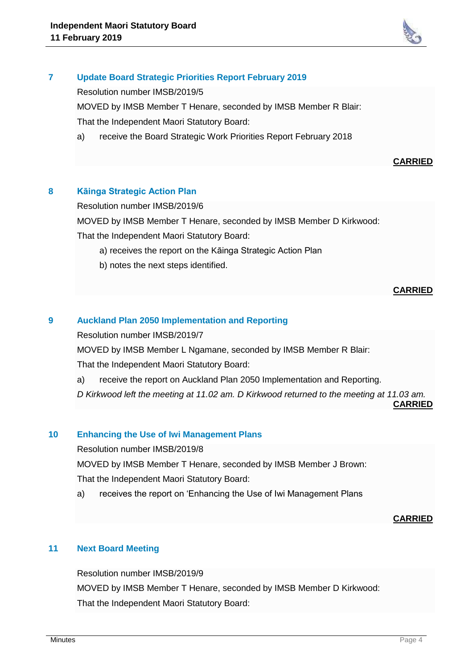

# **7 Update Board Strategic Priorities Report February 2019**

Resolution number IMSB/2019/5

MOVED by IMSB Member T Henare, seconded by IMSB Member R Blair: That the Independent Maori Statutory Board:

a) receive the Board Strategic Work Priorities Report February 2018

## **CARRIED**

# **8 Kāinga Strategic Action Plan**

Resolution number IMSB/2019/6

MOVED by IMSB Member T Henare, seconded by IMSB Member D Kirkwood:

That the Independent Maori Statutory Board:

- a) receives the report on the Kāinga Strategic Action Plan
- b) notes the next steps identified.

## **CARRIED**

## **9 Auckland Plan 2050 Implementation and Reporting**

Resolution number IMSB/2019/7

MOVED by IMSB Member L Ngamane, seconded by IMSB Member R Blair: That the Independent Maori Statutory Board:

- a) receive the report on Auckland Plan 2050 Implementation and Reporting.
- *D Kirkwood left the meeting at 11.02 am. D Kirkwood returned to the meeting at 11.03 am.*

**CARRIED**

### **10 Enhancing the Use of Iwi Management Plans**

Resolution number IMSB/2019/8

MOVED by IMSB Member T Henare, seconded by IMSB Member J Brown: That the Independent Maori Statutory Board:

a) receives the report on 'Enhancing the Use of Iwi Management Plans

#### **CARRIED**

## **11 Next Board Meeting**

Resolution number IMSB/2019/9 MOVED by IMSB Member T Henare, seconded by IMSB Member D Kirkwood: That the Independent Maori Statutory Board: